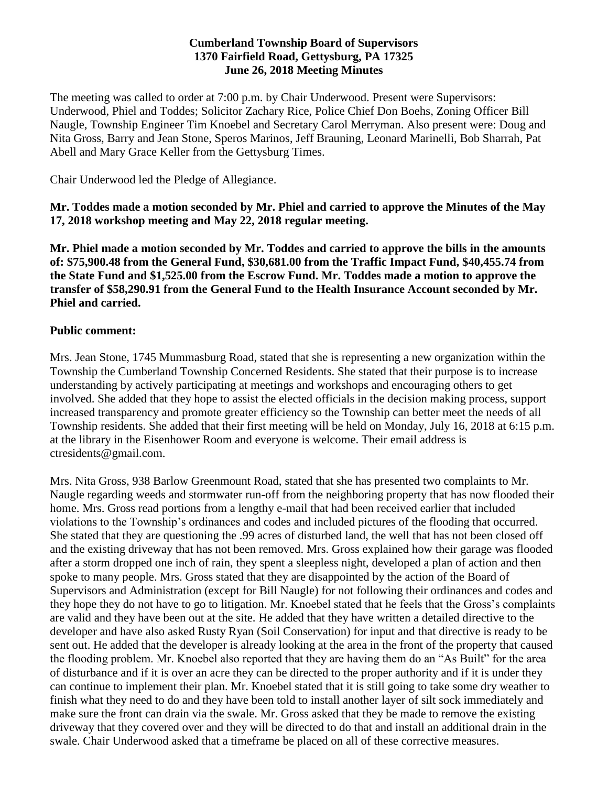#### **Cumberland Township Board of Supervisors 1370 Fairfield Road, Gettysburg, PA 17325 June 26, 2018 Meeting Minutes**

The meeting was called to order at 7:00 p.m. by Chair Underwood. Present were Supervisors: Underwood, Phiel and Toddes; Solicitor Zachary Rice, Police Chief Don Boehs, Zoning Officer Bill Naugle, Township Engineer Tim Knoebel and Secretary Carol Merryman. Also present were: Doug and Nita Gross, Barry and Jean Stone, Speros Marinos, Jeff Brauning, Leonard Marinelli, Bob Sharrah, Pat Abell and Mary Grace Keller from the Gettysburg Times.

Chair Underwood led the Pledge of Allegiance.

**Mr. Toddes made a motion seconded by Mr. Phiel and carried to approve the Minutes of the May 17, 2018 workshop meeting and May 22, 2018 regular meeting.**

**Mr. Phiel made a motion seconded by Mr. Toddes and carried to approve the bills in the amounts of: \$75,900.48 from the General Fund, \$30,681.00 from the Traffic Impact Fund, \$40,455.74 from the State Fund and \$1,525.00 from the Escrow Fund. Mr. Toddes made a motion to approve the transfer of \$58,290.91 from the General Fund to the Health Insurance Account seconded by Mr. Phiel and carried.** 

### **Public comment:**

Mrs. Jean Stone, 1745 Mummasburg Road, stated that she is representing a new organization within the Township the Cumberland Township Concerned Residents. She stated that their purpose is to increase understanding by actively participating at meetings and workshops and encouraging others to get involved. She added that they hope to assist the elected officials in the decision making process, support increased transparency and promote greater efficiency so the Township can better meet the needs of all Township residents. She added that their first meeting will be held on Monday, July 16, 2018 at 6:15 p.m. at the library in the Eisenhower Room and everyone is welcome. Their email address is ctresidents@gmail.com.

Mrs. Nita Gross, 938 Barlow Greenmount Road, stated that she has presented two complaints to Mr. Naugle regarding weeds and stormwater run-off from the neighboring property that has now flooded their home. Mrs. Gross read portions from a lengthy e-mail that had been received earlier that included violations to the Township's ordinances and codes and included pictures of the flooding that occurred. She stated that they are questioning the .99 acres of disturbed land, the well that has not been closed off and the existing driveway that has not been removed. Mrs. Gross explained how their garage was flooded after a storm dropped one inch of rain, they spent a sleepless night, developed a plan of action and then spoke to many people. Mrs. Gross stated that they are disappointed by the action of the Board of Supervisors and Administration (except for Bill Naugle) for not following their ordinances and codes and they hope they do not have to go to litigation. Mr. Knoebel stated that he feels that the Gross's complaints are valid and they have been out at the site. He added that they have written a detailed directive to the developer and have also asked Rusty Ryan (Soil Conservation) for input and that directive is ready to be sent out. He added that the developer is already looking at the area in the front of the property that caused the flooding problem. Mr. Knoebel also reported that they are having them do an "As Built" for the area of disturbance and if it is over an acre they can be directed to the proper authority and if it is under they can continue to implement their plan. Mr. Knoebel stated that it is still going to take some dry weather to finish what they need to do and they have been told to install another layer of silt sock immediately and make sure the front can drain via the swale. Mr. Gross asked that they be made to remove the existing driveway that they covered over and they will be directed to do that and install an additional drain in the swale. Chair Underwood asked that a timeframe be placed on all of these corrective measures.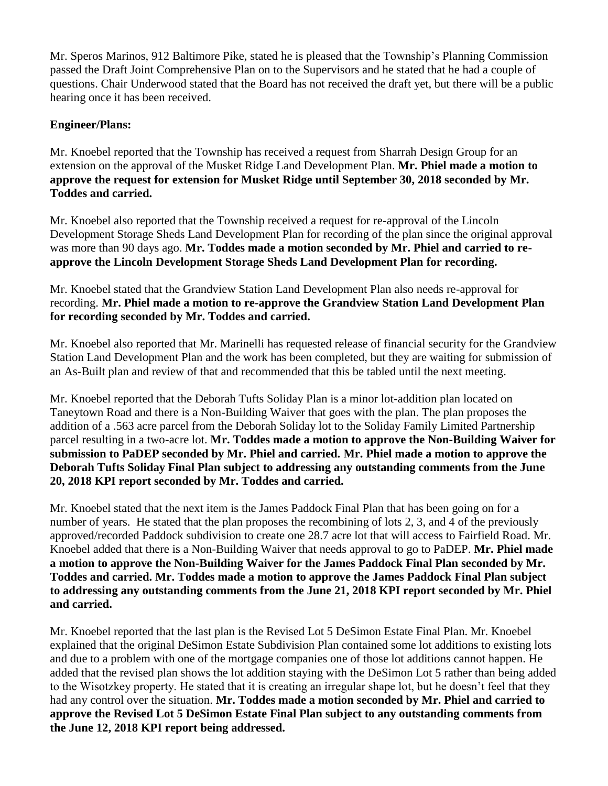Mr. Speros Marinos, 912 Baltimore Pike, stated he is pleased that the Township's Planning Commission passed the Draft Joint Comprehensive Plan on to the Supervisors and he stated that he had a couple of questions. Chair Underwood stated that the Board has not received the draft yet, but there will be a public hearing once it has been received.

## **Engineer/Plans:**

Mr. Knoebel reported that the Township has received a request from Sharrah Design Group for an extension on the approval of the Musket Ridge Land Development Plan. **Mr. Phiel made a motion to approve the request for extension for Musket Ridge until September 30, 2018 seconded by Mr. Toddes and carried.**

Mr. Knoebel also reported that the Township received a request for re-approval of the Lincoln Development Storage Sheds Land Development Plan for recording of the plan since the original approval was more than 90 days ago. **Mr. Toddes made a motion seconded by Mr. Phiel and carried to reapprove the Lincoln Development Storage Sheds Land Development Plan for recording.** 

Mr. Knoebel stated that the Grandview Station Land Development Plan also needs re-approval for recording. **Mr. Phiel made a motion to re-approve the Grandview Station Land Development Plan for recording seconded by Mr. Toddes and carried.** 

Mr. Knoebel also reported that Mr. Marinelli has requested release of financial security for the Grandview Station Land Development Plan and the work has been completed, but they are waiting for submission of an As-Built plan and review of that and recommended that this be tabled until the next meeting.

Mr. Knoebel reported that the Deborah Tufts Soliday Plan is a minor lot-addition plan located on Taneytown Road and there is a Non-Building Waiver that goes with the plan. The plan proposes the addition of a .563 acre parcel from the Deborah Soliday lot to the Soliday Family Limited Partnership parcel resulting in a two-acre lot. **Mr. Toddes made a motion to approve the Non-Building Waiver for submission to PaDEP seconded by Mr. Phiel and carried. Mr. Phiel made a motion to approve the Deborah Tufts Soliday Final Plan subject to addressing any outstanding comments from the June 20, 2018 KPI report seconded by Mr. Toddes and carried.** 

Mr. Knoebel stated that the next item is the James Paddock Final Plan that has been going on for a number of years. He stated that the plan proposes the recombining of lots 2, 3, and 4 of the previously approved/recorded Paddock subdivision to create one 28.7 acre lot that will access to Fairfield Road. Mr. Knoebel added that there is a Non-Building Waiver that needs approval to go to PaDEP. **Mr. Phiel made a motion to approve the Non-Building Waiver for the James Paddock Final Plan seconded by Mr. Toddes and carried. Mr. Toddes made a motion to approve the James Paddock Final Plan subject to addressing any outstanding comments from the June 21, 2018 KPI report seconded by Mr. Phiel and carried.** 

Mr. Knoebel reported that the last plan is the Revised Lot 5 DeSimon Estate Final Plan. Mr. Knoebel explained that the original DeSimon Estate Subdivision Plan contained some lot additions to existing lots and due to a problem with one of the mortgage companies one of those lot additions cannot happen. He added that the revised plan shows the lot addition staying with the DeSimon Lot 5 rather than being added to the Wisotzkey property. He stated that it is creating an irregular shape lot, but he doesn't feel that they had any control over the situation. **Mr. Toddes made a motion seconded by Mr. Phiel and carried to approve the Revised Lot 5 DeSimon Estate Final Plan subject to any outstanding comments from the June 12, 2018 KPI report being addressed.**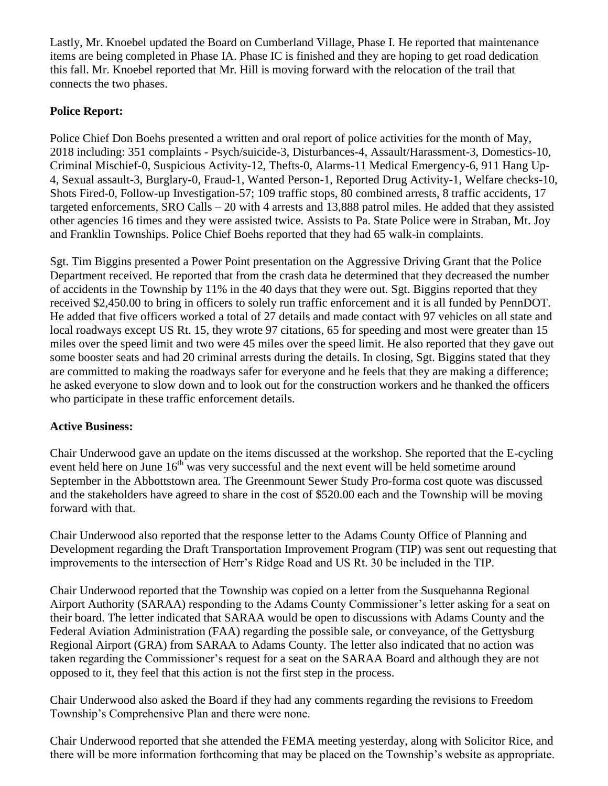Lastly, Mr. Knoebel updated the Board on Cumberland Village, Phase I. He reported that maintenance items are being completed in Phase IA. Phase IC is finished and they are hoping to get road dedication this fall. Mr. Knoebel reported that Mr. Hill is moving forward with the relocation of the trail that connects the two phases.

# **Police Report:**

Police Chief Don Boehs presented a written and oral report of police activities for the month of May, 2018 including: 351 complaints - Psych/suicide-3, Disturbances-4, Assault/Harassment-3, Domestics-10, Criminal Mischief-0, Suspicious Activity-12, Thefts-0, Alarms-11 Medical Emergency-6, 911 Hang Up-4, Sexual assault-3, Burglary-0, Fraud-1, Wanted Person-1, Reported Drug Activity-1, Welfare checks-10, Shots Fired-0, Follow-up Investigation-57; 109 traffic stops, 80 combined arrests, 8 traffic accidents, 17 targeted enforcements, SRO Calls – 20 with 4 arrests and 13,888 patrol miles. He added that they assisted other agencies 16 times and they were assisted twice. Assists to Pa. State Police were in Straban, Mt. Joy and Franklin Townships. Police Chief Boehs reported that they had 65 walk-in complaints.

Sgt. Tim Biggins presented a Power Point presentation on the Aggressive Driving Grant that the Police Department received. He reported that from the crash data he determined that they decreased the number of accidents in the Township by 11% in the 40 days that they were out. Sgt. Biggins reported that they received \$2,450.00 to bring in officers to solely run traffic enforcement and it is all funded by PennDOT. He added that five officers worked a total of 27 details and made contact with 97 vehicles on all state and local roadways except US Rt. 15, they wrote 97 citations, 65 for speeding and most were greater than 15 miles over the speed limit and two were 45 miles over the speed limit. He also reported that they gave out some booster seats and had 20 criminal arrests during the details. In closing, Sgt. Biggins stated that they are committed to making the roadways safer for everyone and he feels that they are making a difference; he asked everyone to slow down and to look out for the construction workers and he thanked the officers who participate in these traffic enforcement details.

# **Active Business:**

Chair Underwood gave an update on the items discussed at the workshop. She reported that the E-cycling event held here on June  $16<sup>th</sup>$  was very successful and the next event will be held sometime around September in the Abbottstown area. The Greenmount Sewer Study Pro-forma cost quote was discussed and the stakeholders have agreed to share in the cost of \$520.00 each and the Township will be moving forward with that.

Chair Underwood also reported that the response letter to the Adams County Office of Planning and Development regarding the Draft Transportation Improvement Program (TIP) was sent out requesting that improvements to the intersection of Herr's Ridge Road and US Rt. 30 be included in the TIP.

Chair Underwood reported that the Township was copied on a letter from the Susquehanna Regional Airport Authority (SARAA) responding to the Adams County Commissioner's letter asking for a seat on their board. The letter indicated that SARAA would be open to discussions with Adams County and the Federal Aviation Administration (FAA) regarding the possible sale, or conveyance, of the Gettysburg Regional Airport (GRA) from SARAA to Adams County. The letter also indicated that no action was taken regarding the Commissioner's request for a seat on the SARAA Board and although they are not opposed to it, they feel that this action is not the first step in the process.

Chair Underwood also asked the Board if they had any comments regarding the revisions to Freedom Township's Comprehensive Plan and there were none.

Chair Underwood reported that she attended the FEMA meeting yesterday, along with Solicitor Rice, and there will be more information forthcoming that may be placed on the Township's website as appropriate.